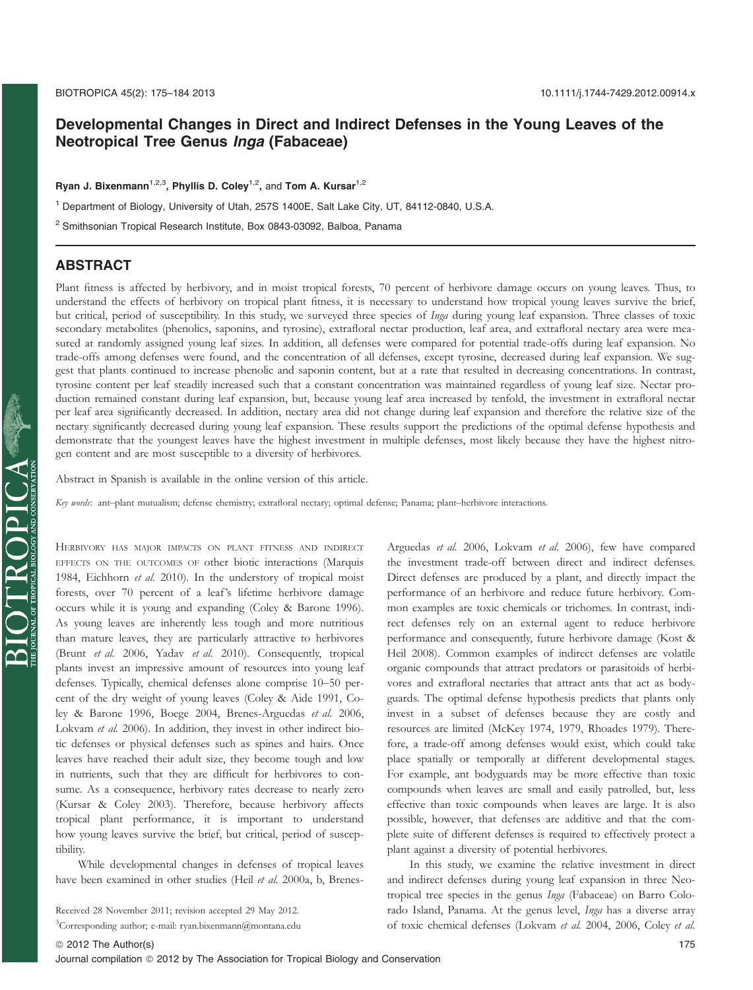# Developmental Changes in Direct and Indirect Defenses in the Young Leaves of the Neotropical Tree Genus Inga (Fabaceae)

Ryan J. Bixenmann<sup>1,2,3</sup>, Phyllis D. Coley<sup>1,2</sup>, and Tom A. Kursar<sup>1,2</sup>

<sup>1</sup> Department of Biology, University of Utah, 257S 1400E, Salt Lake City, UT, 84112-0840, U.S.A.

<sup>2</sup> Smithsonian Tropical Research Institute, Box 0843-03092, Balboa, Panama

### ABSTRACT

Plant fitness is affected by herbivory, and in moist tropical forests, 70 percent of herbivore damage occurs on young leaves. Thus, to understand the effects of herbivory on tropical plant fitness, it is necessary to understand how tropical young leaves survive the brief, but critical, period of susceptibility. In this study, we surveyed three species of Inga during young leaf expansion. Three classes of toxic secondary metabolites (phenolics, saponins, and tyrosine), extrafloral nectar production, leaf area, and extrafloral nectary area were measured at randomly assigned young leaf sizes. In addition, all defenses were compared for potential trade-offs during leaf expansion. No trade-offs among defenses were found, and the concentration of all defenses, except tyrosine, decreased during leaf expansion. We suggest that plants continued to increase phenolic and saponin content, but at a rate that resulted in decreasing concentrations. In contrast, tyrosine content per leaf steadily increased such that a constant concentration was maintained regardless of young leaf size. Nectar production remained constant during leaf expansion, but, because young leaf area increased by tenfold, the investment in extrafloral nectar per leaf area significantly decreased. In addition, nectary area did not change during leaf expansion and therefore the relative size of the nectary significantly decreased during young leaf expansion. These results support the predictions of the optimal defense hypothesis and demonstrate that the youngest leaves have the highest investment in multiple defenses, most likely because they have the highest nitrogen content and are most susceptible to a diversity of herbivores.

Abstract in Spanish is available in the online version of this article.

Key words: ant-plant mutualism; defense chemistry; extrafloral nectary; optimal defense; Panama; plant-herbivore interactions.

HERBIVORY HAS MAJOR IMPACTS ON PLANT FITNESS AND INDIRECT EFFECTS ON THE OUTCOMES OF other biotic interactions (Marquis 1984, Eichhorn et al. 2010). In the understory of tropical moist forests, over 70 percent of a leaf's lifetime herbivore damage occurs while it is young and expanding (Coley & Barone 1996). As young leaves are inherently less tough and more nutritious than mature leaves, they are particularly attractive to herbivores (Brunt et al. 2006, Yadav et al. 2010). Consequently, tropical plants invest an impressive amount of resources into young leaf defenses. Typically, chemical defenses alone comprise 10–50 percent of the dry weight of young leaves (Coley & Aide 1991, Coley & Barone 1996, Boege 2004, Brenes-Arguedas et al. 2006, Lokvam et al. 2006). In addition, they invest in other indirect biotic defenses or physical defenses such as spines and hairs. Once leaves have reached their adult size, they become tough and low in nutrients, such that they are difficult for herbivores to consume. As a consequence, herbivory rates decrease to nearly zero (Kursar & Coley 2003). Therefore, because herbivory affects tropical plant performance, it is important to understand how young leaves survive the brief, but critical, period of susceptibility.

While developmental changes in defenses of tropical leaves have been examined in other studies (Heil et al. 2000a, b, Brenes-

Received 28 November 2011; revision accepted 29 May 2012.

3 Corresponding author; e-mail: ryan.bixenmann@montana.edu

Arguedas et al. 2006, Lokvam et al. 2006), few have compared the investment trade-off between direct and indirect defenses. Direct defenses are produced by a plant, and directly impact the performance of an herbivore and reduce future herbivory. Common examples are toxic chemicals or trichomes. In contrast, indirect defenses rely on an external agent to reduce herbivore performance and consequently, future herbivore damage (Kost & Heil 2008). Common examples of indirect defenses are volatile organic compounds that attract predators or parasitoids of herbivores and extrafloral nectaries that attract ants that act as bodyguards. The optimal defense hypothesis predicts that plants only invest in a subset of defenses because they are costly and resources are limited (McKey 1974, 1979, Rhoades 1979). Therefore, a trade-off among defenses would exist, which could take place spatially or temporally at different developmental stages. For example, ant bodyguards may be more effective than toxic compounds when leaves are small and easily patrolled, but, less effective than toxic compounds when leaves are large. It is also possible, however, that defenses are additive and that the complete suite of different defenses is required to effectively protect a

> In this study, we examine the relative investment in direct and indirect defenses during young leaf expansion in three Neotropical tree species in the genus Inga (Fabaceae) on Barro Colorado Island, Panama. At the genus level, Inga has a diverse array of toxic chemical defenses (Lokvam et al. 2004, 2006, Coley et al.

plant against a diversity of potential herbivores.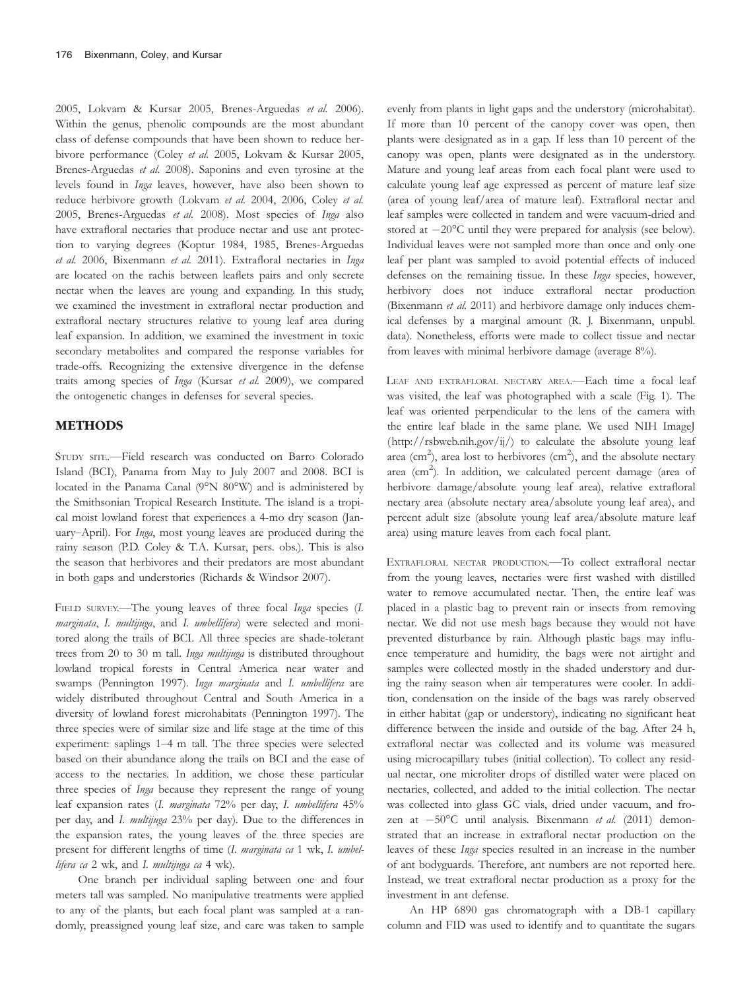2005, Lokvam & Kursar 2005, Brenes-Arguedas et al. 2006). Within the genus, phenolic compounds are the most abundant class of defense compounds that have been shown to reduce herbivore performance (Coley et al. 2005, Lokvam & Kursar 2005, Brenes-Arguedas et al. 2008). Saponins and even tyrosine at the levels found in Inga leaves, however, have also been shown to reduce herbivore growth (Lokvam et al. 2004, 2006, Coley et al. 2005, Brenes-Arguedas et al. 2008). Most species of Inga also have extrafloral nectaries that produce nectar and use ant protection to varying degrees (Koptur 1984, 1985, Brenes-Arguedas et al. 2006, Bixenmann et al. 2011). Extrafloral nectaries in Inga are located on the rachis between leaflets pairs and only secrete nectar when the leaves are young and expanding. In this study, we examined the investment in extrafloral nectar production and extrafloral nectary structures relative to young leaf area during leaf expansion. In addition, we examined the investment in toxic secondary metabolites and compared the response variables for trade-offs. Recognizing the extensive divergence in the defense traits among species of Inga (Kursar et al. 2009), we compared the ontogenetic changes in defenses for several species.

## METHODS

STUDY SITE.—Field research was conducted on Barro Colorado Island (BCI), Panama from May to July 2007 and 2008. BCI is located in the Panama Canal (9°N 80°W) and is administered by the Smithsonian Tropical Research Institute. The island is a tropical moist lowland forest that experiences a 4-mo dry season (January–April). For Inga, most young leaves are produced during the rainy season (P.D. Coley & T.A. Kursar, pers. obs.). This is also the season that herbivores and their predators are most abundant in both gaps and understories (Richards & Windsor 2007).

FIELD SURVEY.-The young leaves of three focal Inga species (I. marginata, I. multijuga, and I. umbellifera) were selected and monitored along the trails of BCI. All three species are shade-tolerant trees from 20 to 30 m tall. Inga multijuga is distributed throughout lowland tropical forests in Central America near water and swamps (Pennington 1997). Inga marginata and I. umbellifera are widely distributed throughout Central and South America in a diversity of lowland forest microhabitats (Pennington 1997). The three species were of similar size and life stage at the time of this experiment: saplings 1–4 m tall. The three species were selected based on their abundance along the trails on BCI and the ease of access to the nectaries. In addition, we chose these particular three species of Inga because they represent the range of young leaf expansion rates (I. marginata 72% per day, I. umbellifera 45% per day, and I. multijuga 23% per day). Due to the differences in the expansion rates, the young leaves of the three species are present for different lengths of time (I. marginata ca 1 wk, I. umbellifera ca 2 wk, and I. multijuga ca 4 wk).

One branch per individual sapling between one and four meters tall was sampled. No manipulative treatments were applied to any of the plants, but each focal plant was sampled at a randomly, preassigned young leaf size, and care was taken to sample

evenly from plants in light gaps and the understory (microhabitat). If more than 10 percent of the canopy cover was open, then plants were designated as in a gap. If less than 10 percent of the canopy was open, plants were designated as in the understory. Mature and young leaf areas from each focal plant were used to calculate young leaf age expressed as percent of mature leaf size (area of young leaf/area of mature leaf). Extrafloral nectar and leaf samples were collected in tandem and were vacuum-dried and stored at  $-20^{\circ}$ C until they were prepared for analysis (see below). Individual leaves were not sampled more than once and only one leaf per plant was sampled to avoid potential effects of induced defenses on the remaining tissue. In these Inga species, however, herbivory does not induce extrafloral nectar production (Bixenmann et al. 2011) and herbivore damage only induces chemical defenses by a marginal amount (R. J. Bixenmann, unpubl. data). Nonetheless, efforts were made to collect tissue and nectar from leaves with minimal herbivore damage (average 8%).

LEAF AND EXTRAFLORAL NECTARY AREA.—Each time a focal leaf was visited, the leaf was photographed with a scale (Fig. 1). The leaf was oriented perpendicular to the lens of the camera with the entire leaf blade in the same plane. We used NIH ImageJ  $(\text{http://rsbweb.nih.gov/ij/})$  to calculate the absolute young leaf area (cm<sup>2</sup>), area lost to herbivores (cm<sup>2</sup>), and the absolute nectary area ( $\text{cm}^2$ ). In addition, we calculated percent damage (area of herbivore damage/absolute young leaf area), relative extrafloral nectary area (absolute nectary area/absolute young leaf area), and percent adult size (absolute young leaf area/absolute mature leaf area) using mature leaves from each focal plant.

EXTRAFLORAL NECTAR PRODUCTION.—To collect extrafloral nectar from the young leaves, nectaries were first washed with distilled water to remove accumulated nectar. Then, the entire leaf was placed in a plastic bag to prevent rain or insects from removing nectar. We did not use mesh bags because they would not have prevented disturbance by rain. Although plastic bags may influence temperature and humidity, the bags were not airtight and samples were collected mostly in the shaded understory and during the rainy season when air temperatures were cooler. In addition, condensation on the inside of the bags was rarely observed in either habitat (gap or understory), indicating no significant heat difference between the inside and outside of the bag. After 24 h, extrafloral nectar was collected and its volume was measured using microcapillary tubes (initial collection). To collect any residual nectar, one microliter drops of distilled water were placed on nectaries, collected, and added to the initial collection. The nectar was collected into glass GC vials, dried under vacuum, and frozen at  $-50^{\circ}$ C until analysis. Bixenmann et al. (2011) demonstrated that an increase in extrafloral nectar production on the leaves of these Inga species resulted in an increase in the number of ant bodyguards. Therefore, ant numbers are not reported here. Instead, we treat extrafloral nectar production as a proxy for the investment in ant defense.

An HP 6890 gas chromatograph with a DB-1 capillary column and FID was used to identify and to quantitate the sugars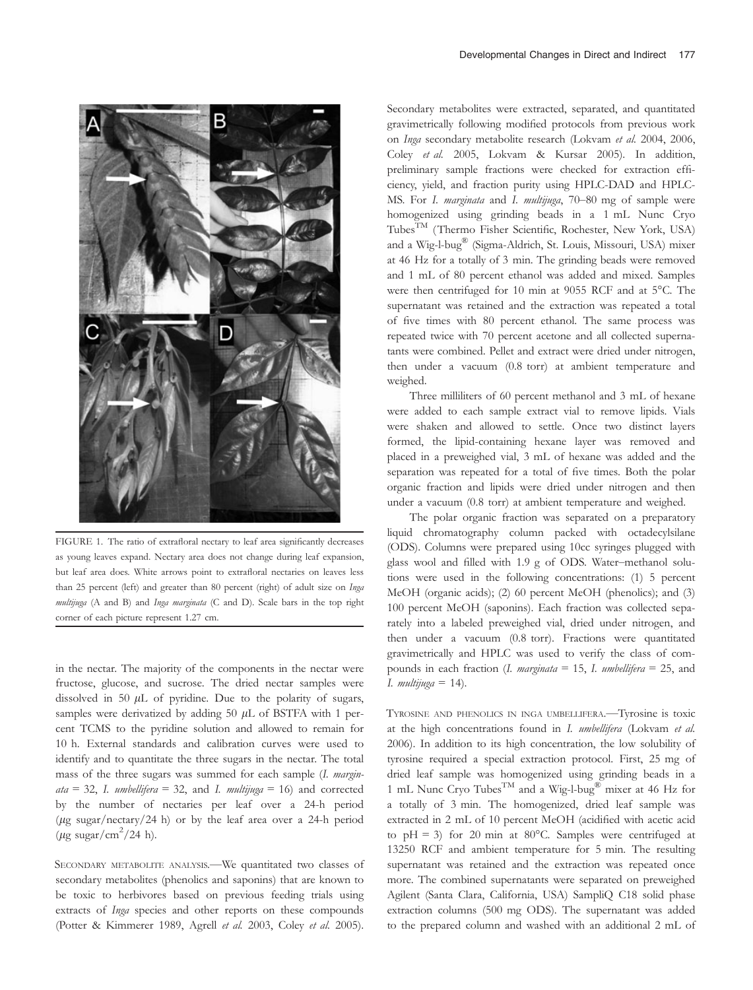

FIGURE 1. The ratio of extrafloral nectary to leaf area significantly decreases as young leaves expand. Nectary area does not change during leaf expansion, but leaf area does. White arrows point to extrafloral nectaries on leaves less than 25 percent (left) and greater than 80 percent (right) of adult size on Inga multijuga (A and B) and Inga marginata (C and D). Scale bars in the top right corner of each picture represent 1.27 cm.

in the nectar. The majority of the components in the nectar were fructose, glucose, and sucrose. The dried nectar samples were dissolved in 50  $\mu$ L of pyridine. Due to the polarity of sugars, samples were derivatized by adding 50  $\mu$ L of BSTFA with 1 percent TCMS to the pyridine solution and allowed to remain for 10 h. External standards and calibration curves were used to identify and to quantitate the three sugars in the nectar. The total mass of the three sugars was summed for each sample (I. margin $ata = 32$ , I. umbellifera = 32, and I. multijuga = 16) and corrected by the number of nectaries per leaf over a 24-h period ( $\mu$ g sugar/nectary/24 h) or by the leaf area over a 24-h period  $(\mu$ g sugar/cm<sup>2</sup>/24 h).

SECONDARY METABOLITE ANALYSIS.—We quantitated two classes of secondary metabolites (phenolics and saponins) that are known to be toxic to herbivores based on previous feeding trials using extracts of Inga species and other reports on these compounds (Potter & Kimmerer 1989, Agrell et al. 2003, Coley et al. 2005).

Secondary metabolites were extracted, separated, and quantitated gravimetrically following modified protocols from previous work on Inga secondary metabolite research (Lokvam et al. 2004, 2006, Coley et al. 2005, Lokvam & Kursar 2005). In addition, preliminary sample fractions were checked for extraction efficiency, yield, and fraction purity using HPLC-DAD and HPLC-MS. For I. marginata and I. multijuga, 70–80 mg of sample were homogenized using grinding beads in a 1 mL Nunc Cryo TubesTM (Thermo Fisher Scientific, Rochester, New York, USA) and a Wig-l-bug® (Sigma-Aldrich, St. Louis, Missouri, USA) mixer at 46 Hz for a totally of 3 min. The grinding beads were removed and 1 mL of 80 percent ethanol was added and mixed. Samples were then centrifuged for 10 min at 9055 RCF and at 5°C. The supernatant was retained and the extraction was repeated a total of five times with 80 percent ethanol. The same process was repeated twice with 70 percent acetone and all collected supernatants were combined. Pellet and extract were dried under nitrogen, then under a vacuum (0.8 torr) at ambient temperature and weighed.

Three milliliters of 60 percent methanol and 3 mL of hexane were added to each sample extract vial to remove lipids. Vials were shaken and allowed to settle. Once two distinct layers formed, the lipid-containing hexane layer was removed and placed in a preweighed vial, 3 mL of hexane was added and the separation was repeated for a total of five times. Both the polar organic fraction and lipids were dried under nitrogen and then under a vacuum (0.8 torr) at ambient temperature and weighed.

The polar organic fraction was separated on a preparatory liquid chromatography column packed with octadecylsilane (ODS). Columns were prepared using 10cc syringes plugged with glass wool and filled with 1.9 g of ODS. Water–methanol solutions were used in the following concentrations: (1) 5 percent MeOH (organic acids); (2) 60 percent MeOH (phenolics); and (3) 100 percent MeOH (saponins). Each fraction was collected separately into a labeled preweighed vial, dried under nitrogen, and then under a vacuum (0.8 torr). Fractions were quantitated gravimetrically and HPLC was used to verify the class of compounds in each fraction (I. marginata = 15, I. umbellifera = 25, and I. multijuga =  $14$ ).

TYROSINE AND PHENOLICS IN INGA UMBELLIFERA.—Tyrosine is toxic at the high concentrations found in I. umbellifera (Lokvam et al. 2006). In addition to its high concentration, the low solubility of tyrosine required a special extraction protocol. First, 25 mg of dried leaf sample was homogenized using grinding beads in a 1 mL Nunc Cryo Tubes<sup>TM</sup> and a Wig-l-bug<sup>®</sup> mixer at 46 Hz for a totally of 3 min. The homogenized, dried leaf sample was extracted in 2 mL of 10 percent MeOH (acidified with acetic acid to pH = 3) for 20 min at 80 $^{\circ}$ C. Samples were centrifuged at 13250 RCF and ambient temperature for 5 min. The resulting supernatant was retained and the extraction was repeated once more. The combined supernatants were separated on preweighed Agilent (Santa Clara, California, USA) SampliQ C18 solid phase extraction columns (500 mg ODS). The supernatant was added to the prepared column and washed with an additional 2 mL of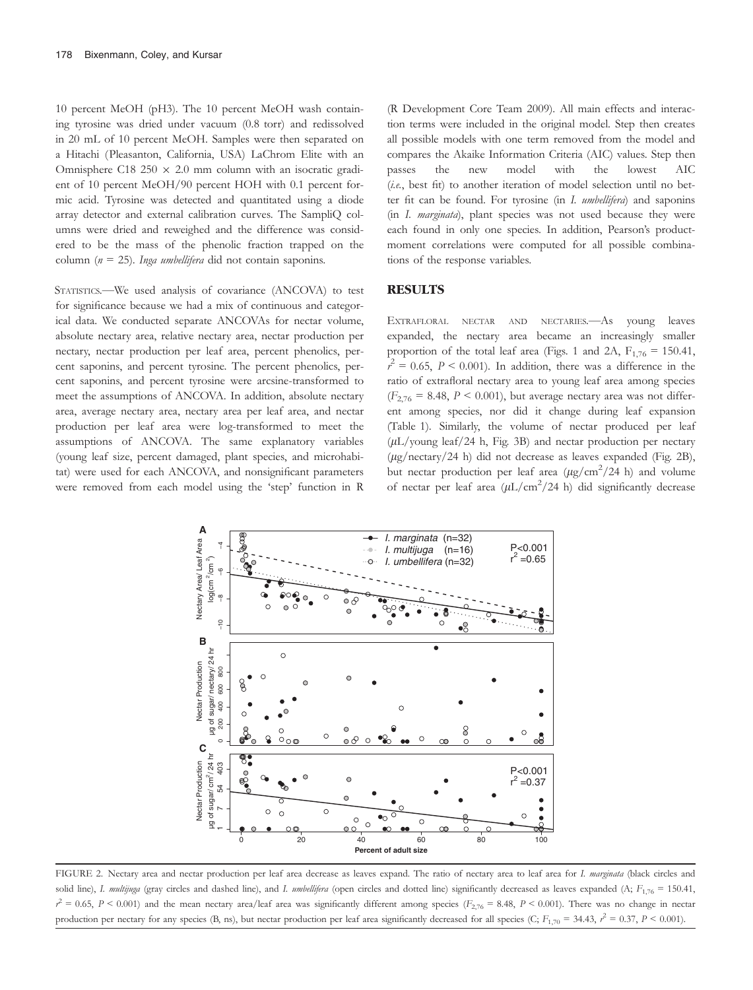10 percent MeOH (pH3). The 10 percent MeOH wash containing tyrosine was dried under vacuum (0.8 torr) and redissolved in 20 mL of 10 percent MeOH. Samples were then separated on a Hitachi (Pleasanton, California, USA) LaChrom Elite with an Omnisphere C18 250  $\times$  2.0 mm column with an isocratic gradient of 10 percent MeOH/90 percent HOH with 0.1 percent formic acid. Tyrosine was detected and quantitated using a diode array detector and external calibration curves. The SampliQ columns were dried and reweighed and the difference was considered to be the mass of the phenolic fraction trapped on the column ( $n = 25$ ). Inga umbellifera did not contain saponins.

STATISTICS.—We used analysis of covariance (ANCOVA) to test for significance because we had a mix of continuous and categorical data. We conducted separate ANCOVAs for nectar volume, absolute nectary area, relative nectary area, nectar production per nectary, nectar production per leaf area, percent phenolics, percent saponins, and percent tyrosine. The percent phenolics, percent saponins, and percent tyrosine were arcsine-transformed to meet the assumptions of ANCOVA. In addition, absolute nectary area, average nectary area, nectary area per leaf area, and nectar production per leaf area were log-transformed to meet the assumptions of ANCOVA. The same explanatory variables (young leaf size, percent damaged, plant species, and microhabitat) were used for each ANCOVA, and nonsignificant parameters were removed from each model using the 'step' function in R

(R Development Core Team 2009). All main effects and interaction terms were included in the original model. Step then creates all possible models with one term removed from the model and compares the Akaike Information Criteria (AIC) values. Step then passes the new model with the lowest AIC (i.e., best fit) to another iteration of model selection until no better fit can be found. For tyrosine (in I. umbellifera) and saponins (in I. marginata), plant species was not used because they were each found in only one species. In addition, Pearson's productmoment correlations were computed for all possible combinations of the response variables.

#### RESULTS

EXTRAFLORAL NECTAR AND NECTARIES.—As young leaves expanded, the nectary area became an increasingly smaller proportion of the total leaf area (Figs. 1 and 2A,  $F_{1,76} = 150.41$ ,  $r^2 = 0.65$ ,  $P < 0.001$ ). In addition, there was a difference in the ratio of extrafloral nectary area to young leaf area among species  $(F_{2,76} = 8.48, P \le 0.001)$ , but average nectary area was not different among species, nor did it change during leaf expansion (Table 1). Similarly, the volume of nectar produced per leaf  $(\mu L/voung leaf/24 h, Fig. 3B)$  and nectar production per nectary (lg/nectary/24 h) did not decrease as leaves expanded (Fig. 2B), but nectar production per leaf area  $(\mu g/cm^2/24 \text{ h})$  and volume of nectar per leaf area  $(\mu L/cm^2/24 \text{ h})$  did significantly decrease



FIGURE 2. Nectary area and nectar production per leaf area decrease as leaves expand. The ratio of nectary area to leaf area for I. marginata (black circles and solid line), I. multijuga (gray circles and dashed line), and I. umbellifera (open circles and dotted line) significantly decreased as leaves expanded (A;  $F_{1,76} = 150.41$ ,  $r^2 = 0.65$ ,  $P < 0.001$ ) and the mean nectary area/leaf area was significantly different among species ( $F_{2,76} = 8.48$ ,  $P < 0.001$ ). There was no change in nectar production per nectary for any species (B, ns), but nectar production per leaf area significantly decreased for all species (C;  $F_{1,70} = 34.43$ ,  $r^2 = 0.37$ ,  $P < 0.001$ ).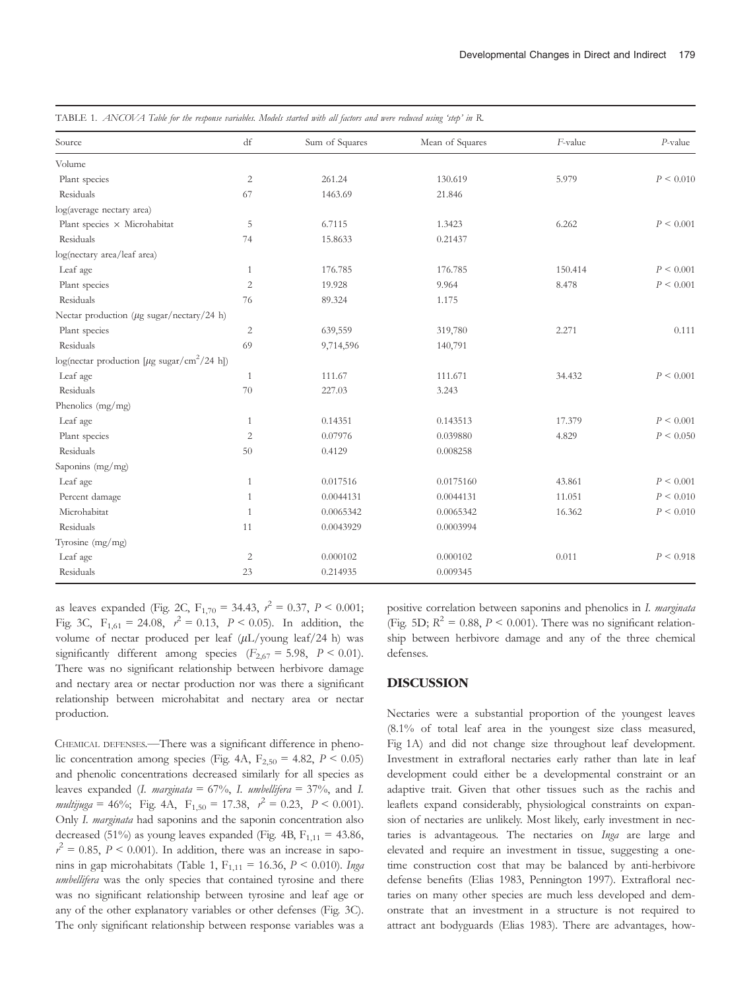| Source                                                        | df             | Sum of Squares | Mean of Squares | F-value | $P$ -value     |
|---------------------------------------------------------------|----------------|----------------|-----------------|---------|----------------|
| Volume                                                        |                |                |                 |         |                |
| Plant species                                                 | $\overline{2}$ | 261.24         | 130.619         | 5.979   | $P \leq 0.010$ |
| Residuals                                                     | 67             | 1463.69        | 21.846          |         |                |
| log(average nectary area)                                     |                |                |                 |         |                |
| Plant species × Microhabitat                                  | 5              | 6.7115         | 1.3423          | 6.262   | $P \leq 0.001$ |
| Residuals                                                     | 74             | 15.8633        | 0.21437         |         |                |
| log(nectary area/leaf area)                                   |                |                |                 |         |                |
| Leaf age                                                      | 1              | 176.785        | 176.785         | 150.414 | $P \leq 0.001$ |
| Plant species                                                 | $\overline{2}$ | 19.928         | 9.964           | 8.478   | $P \leq 0.001$ |
| Residuals                                                     | 76             | 89.324         | 1.175           |         |                |
| Nectar production ( $\mu$ g sugar/nectary/24 h)               |                |                |                 |         |                |
| Plant species                                                 | $\mathbf{2}$   | 639,559        | 319,780         | 2.271   | 0.111          |
| Residuals                                                     | 69             | 9,714,596      | 140,791         |         |                |
| log(nectar production [ $\mu$ g sugar/cm <sup>2</sup> /24 h]) |                |                |                 |         |                |
| Leaf age                                                      | 1              | 111.67         | 111.671         | 34.432  | $P \leq 0.001$ |
| Residuals                                                     | 70             | 227.03         | 3.243           |         |                |
| Phenolics (mg/mg)                                             |                |                |                 |         |                |
| Leaf age                                                      | 1              | 0.14351        | 0.143513        | 17.379  | $P \leq 0.001$ |
| Plant species                                                 | $\overline{2}$ | 0.07976        | 0.039880        | 4.829   | $P \leq 0.050$ |
| Residuals                                                     | 50             | 0.4129         | 0.008258        |         |                |
| Saponins (mg/mg)                                              |                |                |                 |         |                |
| Leaf age                                                      | $\mathbf{1}$   | 0.017516       | 0.0175160       | 43.861  | $P \leq 0.001$ |
| Percent damage                                                | 1              | 0.0044131      | 0.0044131       | 11.051  | $P \leq 0.010$ |
| Microhabitat                                                  | $\mathbf{1}$   | 0.0065342      | 0.0065342       | 16.362  | $P \leq 0.010$ |
| Residuals                                                     | 11             | 0.0043929      | 0.0003994       |         |                |
| Tyrosine (mg/mg)                                              |                |                |                 |         |                |
| Leaf age                                                      | $\sqrt{2}$     | 0.000102       | 0.000102        | 0.011   | P < 0.918      |
| Residuals                                                     | 23             | 0.214935       | 0.009345        |         |                |

TABLE 1. ANCOVA Table for the response variables. Models started with all factors and were reduced using 'step' in R.

as leaves expanded (Fig. 2C,  $F_{1,70} = 34.43$ ,  $r^2 = 0.37$ ,  $P < 0.001$ ; Fig. 3C,  $F_{1,61} = 24.08$ ,  $r^2 = 0.13$ ,  $P < 0.05$ ). In addition, the volume of nectar produced per leaf  $(\mu L/yo$ ung leaf/24 h) was significantly different among species  $(F_{2,67} = 5.98, P \le 0.01)$ . There was no significant relationship between herbivore damage and nectary area or nectar production nor was there a significant relationship between microhabitat and nectary area or nectar production.

CHEMICAL DEFENSES.—There was a significant difference in phenolic concentration among species (Fig. 4A,  $F_{2,50} = 4.82$ ,  $P < 0.05$ ) and phenolic concentrations decreased similarly for all species as leaves expanded (I. marginata =  $67\%$ , I. umbellifera =  $37\%$ , and I. multijuga = 46%; Fig. 4A,  $F_{1,50} = 17.38$ ,  $r^2 = 0.23$ ,  $P < 0.001$ ). Only I. marginata had saponins and the saponin concentration also decreased (51%) as young leaves expanded (Fig. 4B,  $F_{1,11} = 43.86$ ,  $r^2 = 0.85$ ,  $P < 0.001$ ). In addition, there was an increase in saponins in gap microhabitats (Table 1,  $F_{1,11} = 16.36$ ,  $P < 0.010$ ). Inga umbellifera was the only species that contained tyrosine and there was no significant relationship between tyrosine and leaf age or any of the other explanatory variables or other defenses (Fig. 3C). The only significant relationship between response variables was a

positive correlation between saponins and phenolics in I. marginata (Fig. 5D;  $R^2 = 0.88$ ,  $P < 0.001$ ). There was no significant relationship between herbivore damage and any of the three chemical defenses.

#### DISCUSSION

Nectaries were a substantial proportion of the youngest leaves (8.1% of total leaf area in the youngest size class measured, Fig 1A) and did not change size throughout leaf development. Investment in extrafloral nectaries early rather than late in leaf development could either be a developmental constraint or an adaptive trait. Given that other tissues such as the rachis and leaflets expand considerably, physiological constraints on expansion of nectaries are unlikely. Most likely, early investment in nectaries is advantageous. The nectaries on Inga are large and elevated and require an investment in tissue, suggesting a onetime construction cost that may be balanced by anti-herbivore defense benefits (Elias 1983, Pennington 1997). Extrafloral nectaries on many other species are much less developed and demonstrate that an investment in a structure is not required to attract ant bodyguards (Elias 1983). There are advantages, how-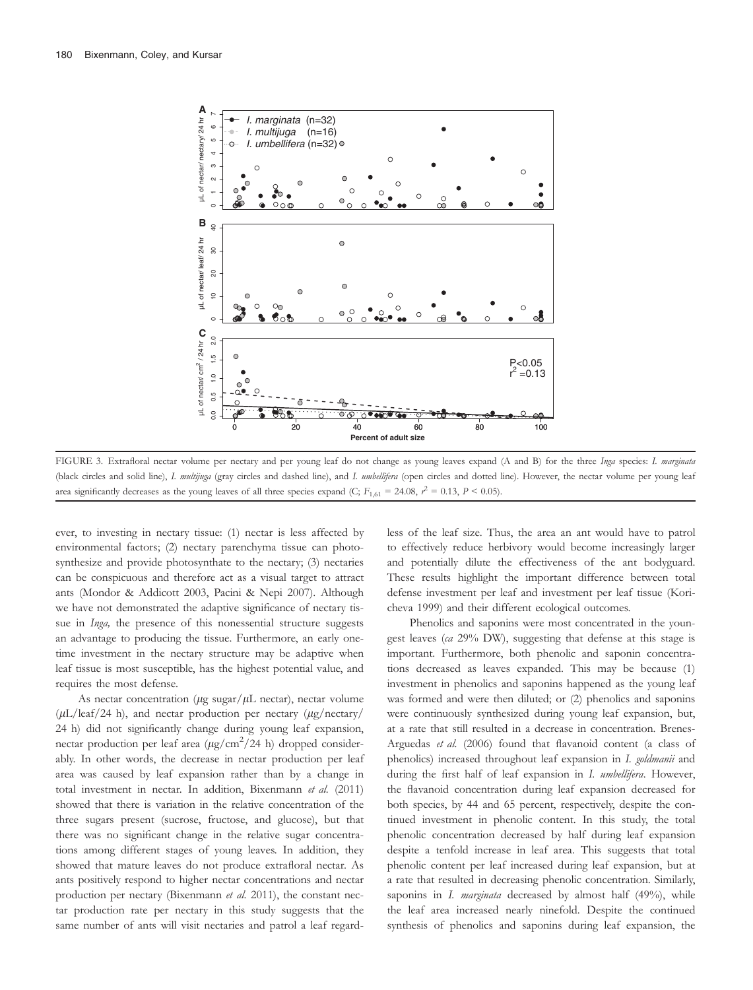

FIGURE 3. Extrafloral nectar volume per nectary and per young leaf do not change as young leaves expand (A and B) for the three Inga species: I. marginata (black circles and solid line), I. multijuga (gray circles and dashed line), and I. umbellifera (open circles and dotted line). However, the nectar volume per young leaf area significantly decreases as the young leaves of all three species expand (C;  $F_{1,61} = 24.08$ ,  $r^2 = 0.13$ ,  $P < 0.05$ ).

ever, to investing in nectary tissue: (1) nectar is less affected by environmental factors; (2) nectary parenchyma tissue can photosynthesize and provide photosynthate to the nectary; (3) nectaries can be conspicuous and therefore act as a visual target to attract ants (Mondor & Addicott 2003, Pacini & Nepi 2007). Although we have not demonstrated the adaptive significance of nectary tissue in *Inga*, the presence of this nonessential structure suggests an advantage to producing the tissue. Furthermore, an early onetime investment in the nectary structure may be adaptive when leaf tissue is most susceptible, has the highest potential value, and requires the most defense.

As nectar concentration ( $\mu$ g sugar/ $\mu$ L nectar), nectar volume  $(\mu L/leaf/24 h)$ , and nectar production per nectary  $(\mu g/ncetary)$ 24 h) did not significantly change during young leaf expansion, nectar production per leaf area  $(\mu g/cm^2/24$  h) dropped considerably. In other words, the decrease in nectar production per leaf area was caused by leaf expansion rather than by a change in total investment in nectar. In addition, Bixenmann et al. (2011) showed that there is variation in the relative concentration of the three sugars present (sucrose, fructose, and glucose), but that there was no significant change in the relative sugar concentrations among different stages of young leaves. In addition, they showed that mature leaves do not produce extrafloral nectar. As ants positively respond to higher nectar concentrations and nectar production per nectary (Bixenmann et al. 2011), the constant nectar production rate per nectary in this study suggests that the same number of ants will visit nectaries and patrol a leaf regardless of the leaf size. Thus, the area an ant would have to patrol to effectively reduce herbivory would become increasingly larger and potentially dilute the effectiveness of the ant bodyguard. These results highlight the important difference between total defense investment per leaf and investment per leaf tissue (Koricheva 1999) and their different ecological outcomes.

Phenolics and saponins were most concentrated in the youngest leaves (ca 29% DW), suggesting that defense at this stage is important. Furthermore, both phenolic and saponin concentrations decreased as leaves expanded. This may be because (1) investment in phenolics and saponins happened as the young leaf was formed and were then diluted; or (2) phenolics and saponins were continuously synthesized during young leaf expansion, but, at a rate that still resulted in a decrease in concentration. Brenes-Arguedas et al. (2006) found that flavanoid content (a class of phenolics) increased throughout leaf expansion in I. goldmanii and during the first half of leaf expansion in I. umbellifera. However, the flavanoid concentration during leaf expansion decreased for both species, by 44 and 65 percent, respectively, despite the continued investment in phenolic content. In this study, the total phenolic concentration decreased by half during leaf expansion despite a tenfold increase in leaf area. This suggests that total phenolic content per leaf increased during leaf expansion, but at a rate that resulted in decreasing phenolic concentration. Similarly, saponins in  $I.$  marginata decreased by almost half (49%), while the leaf area increased nearly ninefold. Despite the continued synthesis of phenolics and saponins during leaf expansion, the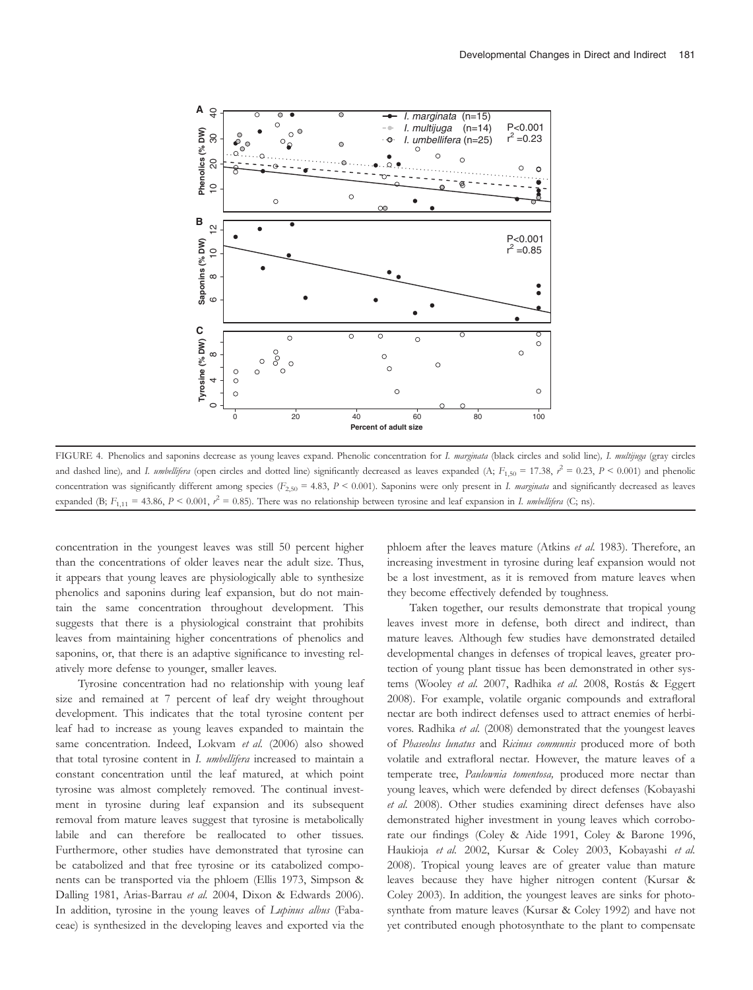

FIGURE 4. Phenolics and saponins decrease as young leaves expand. Phenolic concentration for I. marginata (black circles and solid line), I. multijuga (gray circles and dashed line), and I. umbellifera (open circles and dotted line) significantly decreased as leaves expanded (A;  $F_{1,50} = 17.38$ ,  $r^2 = 0.23$ ,  $P < 0.001$ ) and phenolic concentration was significantly different among species  $(F_{2,50} = 4.83, P < 0.001)$ . Saponins were only present in I. marginata and significantly decreased as leaves expanded (B;  $F_{1,11} = 43.86$ ,  $P < 0.001$ ,  $r^2 = 0.85$ ). There was no relationship between tyrosine and leaf expansion in *I. umbellifera* (C; ns).

concentration in the youngest leaves was still 50 percent higher than the concentrations of older leaves near the adult size. Thus, it appears that young leaves are physiologically able to synthesize phenolics and saponins during leaf expansion, but do not maintain the same concentration throughout development. This suggests that there is a physiological constraint that prohibits leaves from maintaining higher concentrations of phenolics and saponins, or, that there is an adaptive significance to investing relatively more defense to younger, smaller leaves.

Tyrosine concentration had no relationship with young leaf size and remained at 7 percent of leaf dry weight throughout development. This indicates that the total tyrosine content per leaf had to increase as young leaves expanded to maintain the same concentration. Indeed, Lokvam et al. (2006) also showed that total tyrosine content in I. umbellifera increased to maintain a constant concentration until the leaf matured, at which point tyrosine was almost completely removed. The continual investment in tyrosine during leaf expansion and its subsequent removal from mature leaves suggest that tyrosine is metabolically labile and can therefore be reallocated to other tissues. Furthermore, other studies have demonstrated that tyrosine can be catabolized and that free tyrosine or its catabolized components can be transported via the phloem (Ellis 1973, Simpson & Dalling 1981, Arias-Barrau et al. 2004, Dixon & Edwards 2006). In addition, tyrosine in the young leaves of Lupinus albus (Fabaceae) is synthesized in the developing leaves and exported via the

phloem after the leaves mature (Atkins et al. 1983). Therefore, an increasing investment in tyrosine during leaf expansion would not be a lost investment, as it is removed from mature leaves when they become effectively defended by toughness.

Taken together, our results demonstrate that tropical young leaves invest more in defense, both direct and indirect, than mature leaves. Although few studies have demonstrated detailed developmental changes in defenses of tropical leaves, greater protection of young plant tissue has been demonstrated in other systems (Wooley et al. 2007, Radhika et al. 2008, Rostás & Eggert 2008). For example, volatile organic compounds and extrafloral nectar are both indirect defenses used to attract enemies of herbivores. Radhika et al. (2008) demonstrated that the youngest leaves of Phaseolus lunatus and Ricinus communis produced more of both volatile and extrafloral nectar. However, the mature leaves of a temperate tree, Paulownia tomentosa, produced more nectar than young leaves, which were defended by direct defenses (Kobayashi et al. 2008). Other studies examining direct defenses have also demonstrated higher investment in young leaves which corroborate our findings (Coley & Aide 1991, Coley & Barone 1996, Haukioja et al. 2002, Kursar & Coley 2003, Kobayashi et al. 2008). Tropical young leaves are of greater value than mature leaves because they have higher nitrogen content (Kursar & Coley 2003). In addition, the youngest leaves are sinks for photosynthate from mature leaves (Kursar & Coley 1992) and have not yet contributed enough photosynthate to the plant to compensate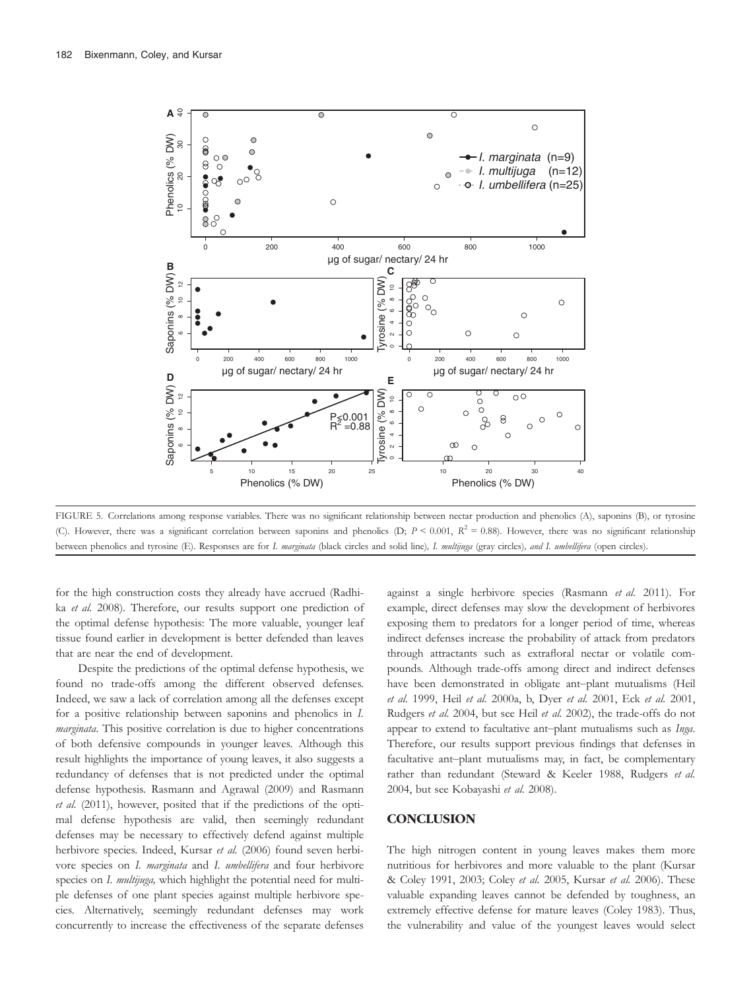

FIGURE 5. Correlations among response variables. There was no significant relationship between nectar production and phenolics (A), saponins (B), or tyrosine (C). However, there was a significant correlation between saponins and phenolics (D;  $P < 0.001$ ,  $R^2 = 0.88$ ). However, there was no significant relationship between phenolics and tyrosine (E). Responses are for I. marginata (black circles and solid line), I. multijuga (gray circles), and I. umbellifera (open circles).

for the high construction costs they already have accrued (Radhika et al. 2008). Therefore, our results support one prediction of the optimal defense hypothesis: The more valuable, younger leaf tissue found earlier in development is better defended than leaves that are near the end of development.

Despite the predictions of the optimal defense hypothesis, we found no trade-offs among the different observed defenses. Indeed, we saw a lack of correlation among all the defenses except for a positive relationship between saponins and phenolics in I. marginata. This positive correlation is due to higher concentrations of both defensive compounds in younger leaves. Although this result highlights the importance of young leaves, it also suggests a redundancy of defenses that is not predicted under the optimal defense hypothesis. Rasmann and Agrawal (2009) and Rasmann et al. (2011), however, posited that if the predictions of the optimal defense hypothesis are valid, then seemingly redundant defenses may be necessary to effectively defend against multiple herbivore species. Indeed, Kursar et al. (2006) found seven herbivore species on I. marginata and I. umbellifera and four herbivore species on I. multijuga, which highlight the potential need for multiple defenses of one plant species against multiple herbivore species. Alternatively, seemingly redundant defenses may work concurrently to increase the effectiveness of the separate defenses

against a single herbivore species (Rasmann et al. 2011). For example, direct defenses may slow the development of herbivores exposing them to predators for a longer period of time, whereas indirect defenses increase the probability of attack from predators through attractants such as extrafloral nectar or volatile compounds. Although trade-offs among direct and indirect defenses have been demonstrated in obligate ant–plant mutualisms (Heil et al. 1999, Heil et al. 2000a, b, Dyer et al. 2001, Eck et al. 2001, Rudgers et al. 2004, but see Heil et al. 2002), the trade-offs do not appear to extend to facultative ant–plant mutualisms such as Inga. Therefore, our results support previous findings that defenses in facultative ant–plant mutualisms may, in fact, be complementary rather than redundant (Steward & Keeler 1988, Rudgers et al. 2004, but see Kobayashi et al. 2008).

### **CONCLUSION**

The high nitrogen content in young leaves makes them more nutritious for herbivores and more valuable to the plant (Kursar & Coley 1991, 2003; Coley et al. 2005, Kursar et al. 2006). These valuable expanding leaves cannot be defended by toughness, an extremely effective defense for mature leaves (Coley 1983). Thus, the vulnerability and value of the youngest leaves would select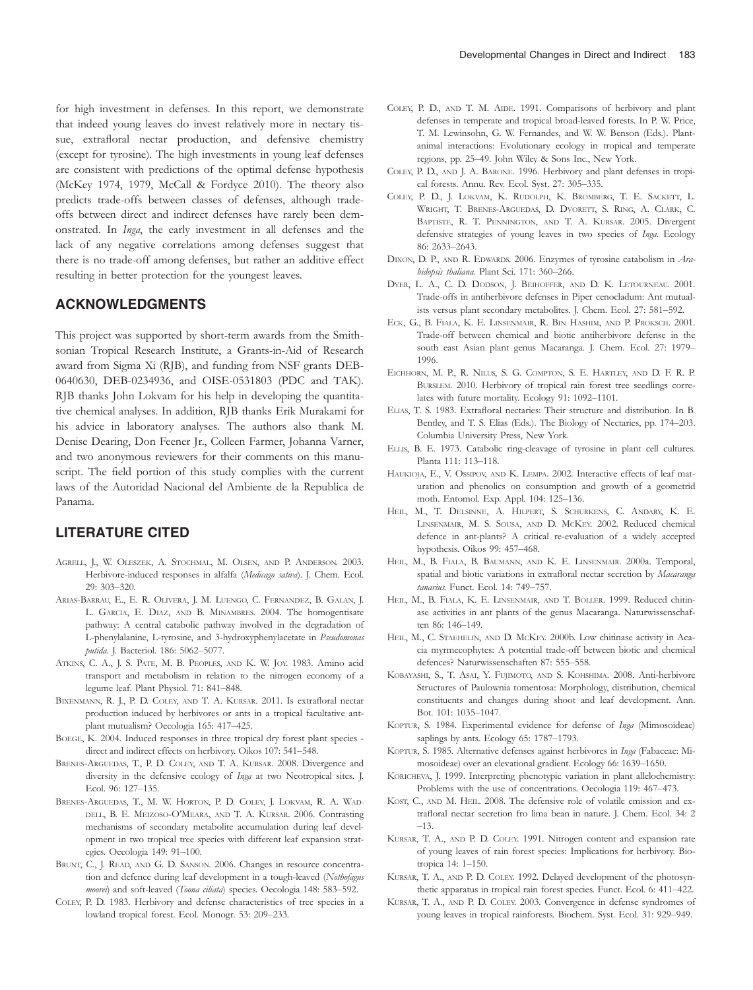for high investment in defenses. In this report, we demonstrate that indeed young leaves do invest relatively more in nectary tissue, extrafloral nectar production, and defensive chemistry (except for tyrosine). The high investments in young leaf defenses are consistent with predictions of the optimal defense hypothesis (McKey 1974, 1979, McCall & Fordyce 2010). The theory also predicts trade-offs between classes of defenses, although tradeoffs between direct and indirect defenses have rarely been demonstrated. In Inga, the early investment in all defenses and the lack of any negative correlations among defenses suggest that there is no trade-off among defenses, but rather an additive effect resulting in better protection for the youngest leaves.

## ACKNOWLEDGMENTS

This project was supported by short-term awards from the Smithsonian Tropical Research Institute, a Grants-in-Aid of Research award from Sigma Xi (RJB), and funding from NSF grants DEB-0640630, DEB-0234936, and OISE-0531803 (PDC and TAK). RJB thanks John Lokvam for his help in developing the quantitative chemical analyses. In addition, RJB thanks Erik Murakami for his advice in laboratory analyses. The authors also thank M. Denise Dearing, Don Feener Jr., Colleen Farmer, Johanna Varner, and two anonymous reviewers for their comments on this manuscript. The field portion of this study complies with the current laws of the Autoridad Nacional del Ambiente de la Republica de Panama.

## LITERATURE CITED

- AGRELL, J., W. OLESZEK, A. STOCHMAL, M. OLSEN, AND P. ANDERSON. 2003. Herbivore-induced responses in alfalfa (Medicago sativa). J. Chem. Ecol. 29: 303–320.
- ARIAS-BARRAU, E., E. R. OLIVERA, J. M. LUENGO, C. FERNANDEZ, B. GALAN, J. L. GARCIA, E. DIAZ, AND B. MINAMBRES. 2004. The homogentisate pathway: A central catabolic pathway involved in the degradation of L-phenylalanine, L-tyrosine, and 3-hydroxyphenylacetate in Pseudomonas putida. J. Bacteriol. 186: 5062–5077.
- ATKINS, C. A., J. S. PATE, M. B. PEOPLES, AND K. W. JOY. 1983. Amino acid transport and metabolism in relation to the nitrogen economy of a legume leaf. Plant Physiol. 71: 841–848.
- BIXENMANN, R. J., P. D. COLEY, AND T. A. KURSAR. 2011. Is extrafloral nectar production induced by herbivores or ants in a tropical facultative antplant mutualism? Oecologia 165: 417–425.
- BOEGE, K. 2004. Induced responses in three tropical dry forest plant species direct and indirect effects on herbivory. Oikos 107: 541–548.
- BRENES-ARGUEDAS, T., P. D. COLEY, AND T. A. KURSAR. 2008. Divergence and diversity in the defensive ecology of Inga at two Neotropical sites. J. Ecol. 96: 127–135.
- BRENES-ARGUEDAS, T., M. W. HORTON, P. D. COLEY, J. LOKVAM, R. A. WAD-DELL, B. E. MEIZOSO-O'MEARA, AND T. A. KURSAR. 2006. Contrasting mechanisms of secondary metabolite accumulation during leaf development in two tropical tree species with different leaf expansion strategies. Oecologia 149: 91–100.
- BRUNT, C., J. READ, AND G. D. SANSON. 2006. Changes in resource concentration and defence during leaf development in a tough-leaved (Nothofagus moorei) and soft-leaved (Toona ciliata) species. Oecologia 148: 583-592.
- COLEY, P. D. 1983. Herbivory and defense characteristics of tree species in a lowland tropical forest. Ecol. Monogr. 53: 209–233.
- COLEY, P. D., AND T. M. AIDE. 1991. Comparisons of herbivory and plant defenses in temperate and tropical broad-leaved forests. In P. W. Price, T. M. Lewinsohn, G. W. Fernandes, and W. W. Benson (Eds.). Plantanimal interactions: Evolutionary ecology in tropical and temperate regions, pp. 25–49. John Wiley & Sons Inc., New York.
- COLEY, P. D., AND J. A. BARONE. 1996. Herbivory and plant defenses in tropical forests. Annu. Rev. Ecol. Syst. 27: 305–335.
- COLEY, P. D., J. LOKVAM, K. RUDOLPH, K. BROMBERG, T. E. SACKETT, L. WRIGHT, T. BRENES-ARGUEDAS, D. DVORETT, S. RING, A. CLARK, C. BAPTISTE, R. T. PENNINGTON, AND T. A. KURSAR. 2005. Divergent defensive strategies of young leaves in two species of Inga. Ecology 86: 2633–2643.
- DIXON, D. P., AND R. EDWARDS. 2006. Enzymes of tyrosine catabolism in Arabidopsis thaliana. Plant Sci. 171: 360–266.
- DYER, L. A., C. D. DODSON, J. BEIHOFFER, AND D. K. LETOURNEAU. 2001. Trade-offs in antiherbivore defenses in Piper cenocladum: Ant mutualists versus plant secondary metabolites. J. Chem. Ecol. 27: 581–592.
- ECK, G., B. FIALA, K. E. LINSENMAIR, R. BIN HASHIM, AND P. PROKSCH. 2001. Trade-off between chemical and biotic antiherbivore defense in the south east Asian plant genus Macaranga. J. Chem. Ecol. 27: 1979– 1996.
- EICHHORN, M. P., R. NILUS, S. G. COMPTON, S. E. HARTLEY, AND D. F. R. P. BURSLEM. 2010. Herbivory of tropical rain forest tree seedlings correlates with future mortality. Ecology 91: 1092–1101.
- ELIAS, T. S. 1983. Extrafloral nectaries: Their structure and distribution. In B. Bentley, and T. S. Elias (Eds.). The Biology of Nectaries, pp. 174–203. Columbia University Press, New York.
- ELLIS, B. E. 1973. Catabolic ring-cleavage of tyrosine in plant cell cultures. Planta 111: 113–118.
- HAUKIOJA, E., V. OSSIPOV, AND K. LEMPA. 2002. Interactive effects of leaf maturation and phenolics on consumption and growth of a geometrid moth. Entomol. Exp. Appl. 104: 125–136.
- HEIL, M., T. DELSINNE, A. HILPERT, S. SCHURKENS, C. ANDARY, K. E. LINSENMAIR, M. S. SOUSA, AND D. MCKEY. 2002. Reduced chemical defence in ant-plants? A critical re-evaluation of a widely accepted hypothesis. Oikos 99: 457–468.
- HEIL, M., B. FIALA, B. BAUMANN, AND K. E. LINSENMAIR. 2000a. Temporal, spatial and biotic variations in extrafloral nectar secretion by Macaranga tanarius. Funct. Ecol. 14: 749–757.
- HEIL, M., B. FIALA, K. E. LINSENMAIR, AND T. BOLLER. 1999. Reduced chitinase activities in ant plants of the genus Macaranga. Naturwissenschaften 86: 146–149.
- HEIL, M., C. STAEHELIN, AND D. MCKEY. 2000b. Low chitinase activity in Acacia myrmecophytes: A potential trade-off between biotic and chemical defences? Naturwissenschaften 87: 555–558.
- KOBAYASHI, S., T. ASAI, Y. FUJIMOTO, AND S. KOHSHIMA. 2008. Anti-herbivore Structures of Paulownia tomentosa: Morphology, distribution, chemical constituents and changes during shoot and leaf development. Ann. Bot. 101: 1035–1047.
- KOPTUR, S. 1984. Experimental evidence for defense of Inga (Mimosoideae) saplings by ants. Ecology 65: 1787–1793.
- KOPTUR, S. 1985. Alternative defenses against herbivores in Inga (Fabaceae: Mimosoideae) over an elevational gradient. Ecology 66: 1639–1650.
- KORICHEVA, J. 1999. Interpreting phenotypic variation in plant allelochemistry: Problems with the use of concentrations. Oecologia 119: 467–473.
- KOST, C., AND M. HEIL. 2008. The defensive role of volatile emission and extrafloral nectar secretion fro lima bean in nature. J. Chem. Ecol. 34: 2 –13.
- KURSAR, T. A., AND P. D. COLEY. 1991. Nitrogen content and expansion rate of young leaves of rain forest species: Implications for herbivory. Biotropica 14: 1–150.
- KURSAR, T. A., AND P. D. COLEY. 1992. Delayed development of the photosynthetic apparatus in tropical rain forest species. Funct. Ecol. 6: 411–422.
- KURSAR, T. A., AND P. D. COLEY. 2003. Convergence in defense syndromes of young leaves in tropical rainforests. Biochem. Syst. Ecol. 31: 929–949.